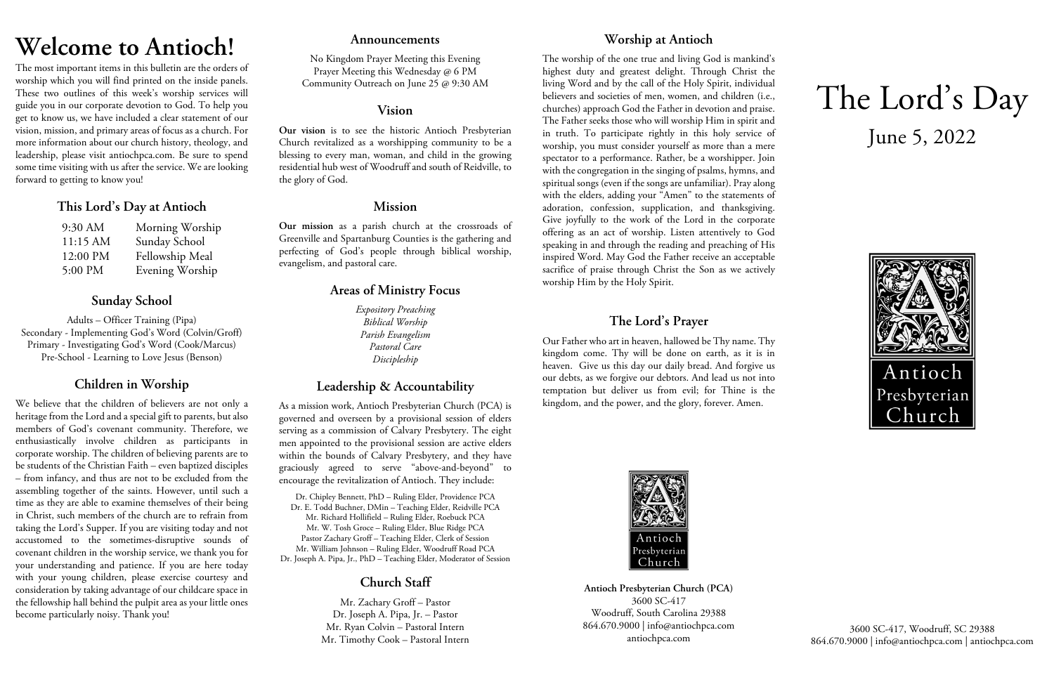# **Welcome to Antioch!**

The most important items in this bulletin are the orders of worship which you will find printed on the inside panels. These two outlines of this week's worship services will guide you in our corporate devotion to God. To help you get to know us, we have included a clear statement of our vision, mission, and primary areas of focus as a church. For more information about our church history, theology, and leadership, please visit antiochpca.com. Be sure to spend some time visiting with us after the service. We are looking forward to getting to know you!

## **This Lord's Day at Antioch**

| 9:30 AM  | Morning Worship |
|----------|-----------------|
| 11:15 AM | Sunday School   |
| 12:00 PM | Fellowship Meal |
| 5:00 PM  | Evening Worship |

# **Sunday School**

Adults – Officer Training (Pipa) Secondary - Implementing God's Word (Colvin/Groff) Primary - Investigating God's Word (Cook/Marcus) Pre-School - Learning to Love Jesus (Benson)

# **Children in Worship**

We believe that the children of believers are not only a heritage from the Lord and a special gift to parents, but also members of God's covenant community. Therefore, we enthusiastically involve children as participants in corporate worship. The children of believing parents are to be students of the Christian Faith – even baptized disciples – from infancy, and thus are not to be excluded from the assembling together of the saints. However, until such a time as they are able to examine themselves of their being in Christ, such members of the church are to refrain from taking the Lord's Supper. If you are visiting today and not accustomed to the sometimes-disruptive sounds of covenant children in the worship service, we thank you for your understanding and patience. If you are here today with your young children, please exercise courtesy and consideration by taking advantage of our childcare space in the fellowship hall behind the pulpit area as your little ones become particularly noisy. Thank you!

## **Announcements**

No Kingdom Prayer Meeting this Evening Prayer Meeting this Wednesday @ 6 PM Community Outreach on June 25 @ 9:30 AM

## **Vision**

**Our vision** is to see the historic Antioch Presbyterian Church revitalized as a worshipping community to be a blessing to every man, woman, and child in the growing residential hub west of Woodruff and south of Reidville, to the glory of God.

## **Mission**

**Our mission** as a parish church at the crossroads of Greenville and Spartanburg Counties is the gathering and perfecting of God's people through biblical worship, evangelism, and pastoral care.

# **Areas of Ministry Focus**

*Expository Preaching Biblical Worship Parish Evangelism Pastoral Care Discipleship*

# **Leadership & Accountability**

As a mission work, Antioch Presbyterian Church (PCA) is governed and overseen by a provisional session of elders serving as a commission of Calvary Presbytery. The eight men appointed to the provisional session are active elders within the bounds of Calvary Presbytery, and they have graciously agreed to serve "above-and-beyond" to encourage the revitalization of Antioch. They include:

Dr. Chipley Bennett, PhD – Ruling Elder, Providence PCA Dr. E. Todd Buchner, DMin – Teaching Elder, Reidville PCA Mr. Richard Hollifield – Ruling Elder, Roebuck PCA Mr. W. Tosh Groce – Ruling Elder, Blue Ridge PCA Pastor Zachary Groff – Teaching Elder, Clerk of Session Mr. William Johnson – Ruling Elder, Woodruff Road PCA Dr. Joseph A. Pipa, Jr., PhD – Teaching Elder, Moderator of Session

# **Church Staff**

Mr. Zachary Groff – Pastor Dr. Joseph A. Pipa, Jr. – Pastor Mr. Ryan Colvin – Pastoral Intern Mr. Timothy Cook – Pastoral Intern

# **Worship at Antioch**

The worship of the one true and living God is mankind's highest duty and greatest delight. Through Christ the living Word and by the call of the Holy Spirit, individual believers and societies of men, women, and children (i.e., churches) approach God the Father in devotion and praise. The Father seeks those who will worship Him in spirit and in truth. To participate rightly in this holy service of worship, you must consider yourself as more than a mere spectator to a performance. Rather, be a worshipper. Join with the congregation in the singing of psalms, hymns, and spiritual songs (even if the songs are unfamiliar). Pray along with the elders, adding your "Amen" to the statements of adoration, confession, supplication, and thanksgiving. Give joyfully to the work of the Lord in the corporate offering as an act of worship. Listen attentively to God speaking in and through the reading and preaching of His inspired Word. May God the Father receive an acceptable sacrifice of praise through Christ the Son as we actively worship Him by the Holy Spirit.

# **The Lord's Prayer**

Our Father who art in heaven, hallowed be Thy name. Thy kingdom come. Thy will be done on earth, as it is in heaven. Give us this day our daily bread. And forgive us our debts, as we forgive our debtors. And lead us not into temptation but deliver us from evil; for Thine is the kingdom, and the power, and the glory, forever. Amen.



**Antioch Presbyterian Church (PCA)** 3600 SC-417 Woodruff, South Carolina 29388 864.670.9000 | info@antiochpca.com antiochpca.com

# The Lord's Day June 5, 2022



3600 SC-417, Woodruff, SC 29388 864.670.9000 | info@antiochpca.com | antiochpca.com